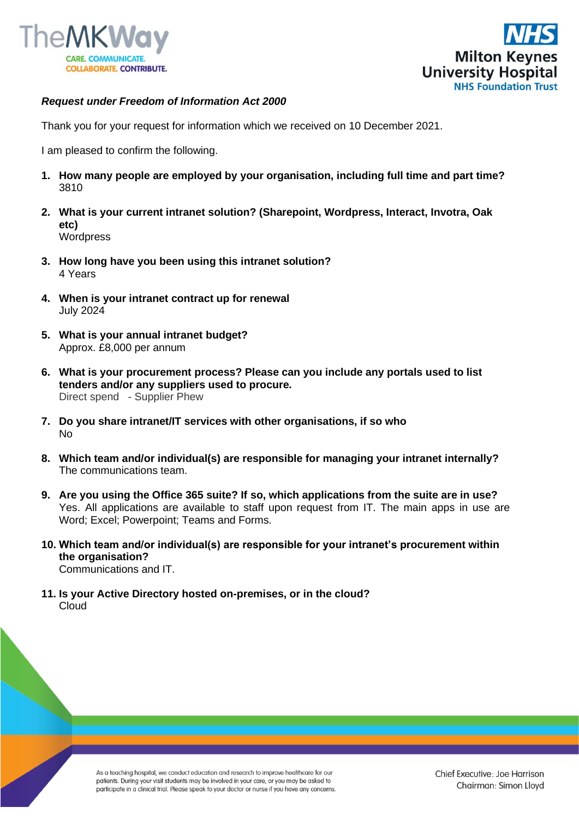



## *Request under Freedom of Information Act 2000*

Thank you for your request for information which we received on 10 December 2021.

I am pleased to confirm the following.

- **1. How many people are employed by your organisation, including full time and part time?** 3810
- **2. What is your current intranet solution? (Sharepoint, Wordpress, Interact, Invotra, Oak etc) Wordpress**
- **3. How long have you been using this intranet solution?** 4 Years
- **4. When is your intranet contract up for renewal** July 2024
- **5. What is your annual intranet budget?** Approx. £8,000 per annum
- **6. What is your procurement process? Please can you include any portals used to list tenders and/or any suppliers used to procure.**  Direct spend - Supplier Phew
- **7. Do you share intranet/IT services with other organisations, if so who** No
- **8. Which team and/or individual(s) are responsible for managing your intranet internally?** The communications team.
- **9. Are you using the Office 365 suite? If so, which applications from the suite are in use?** Yes. All applications are available to staff upon request from IT. The main apps in use are Word; Excel; Powerpoint; Teams and Forms.
- **10. Which team and/or individual(s) are responsible for your intranet's procurement within the organisation?** Communications and IT.
- **11. Is your Active Directory hosted on-premises, or in the cloud?** Cloud

As a teaching hospital, we conduct education and research to improve healthcare for our patients. During your visit students may be involved in your care, or you may be asked to participate in a clinical trial. Please speak to your doctor or nurse if you have any concerns.